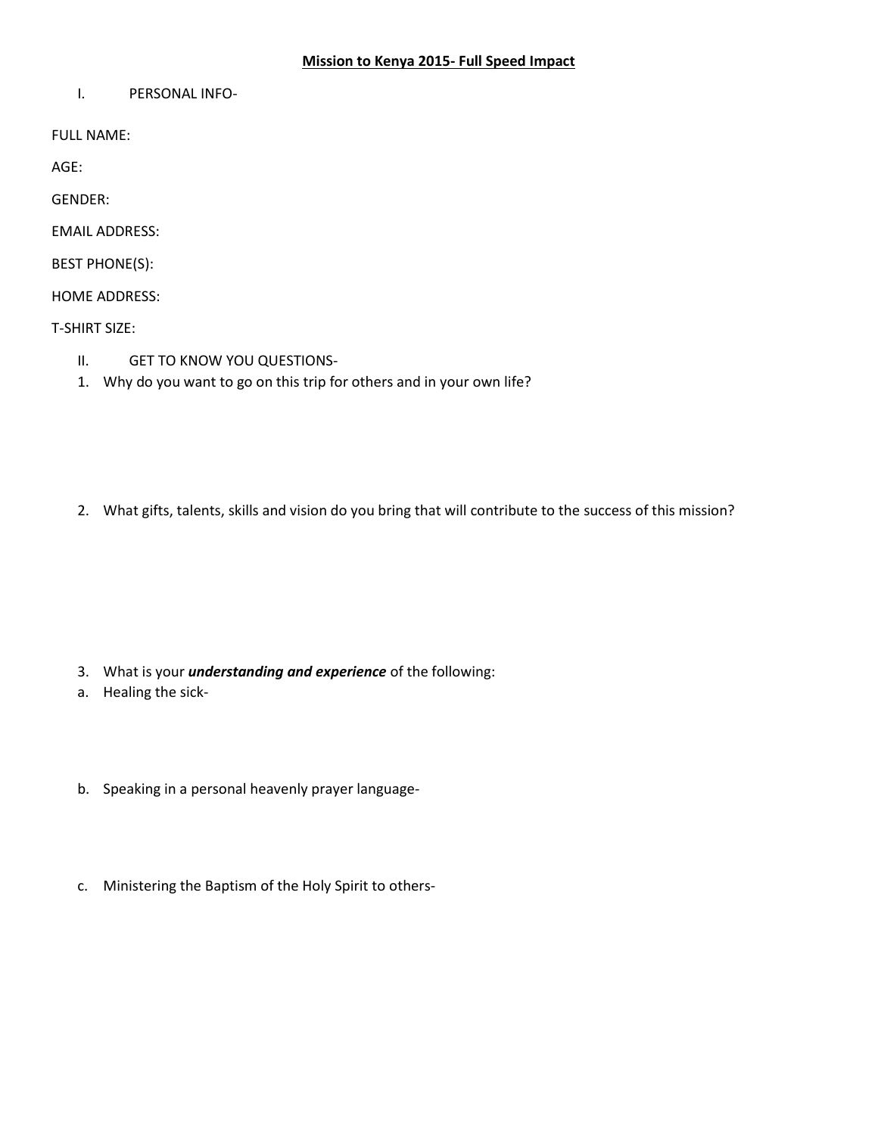## **Mission to Kenya 2015- Full Speed Impact**

I. PERSONAL INFO-

FULL NAME:

AGE:

GENDER:

EMAIL ADDRESS:

BEST PHONE(S):

HOME ADDRESS:

T-SHIRT SIZE:

- II. GET TO KNOW YOU QUESTIONS-
- 1. Why do you want to go on this trip for others and in your own life?

2. What gifts, talents, skills and vision do you bring that will contribute to the success of this mission?

3. What is your *understanding and experience* of the following:

a. Healing the sick-

- b. Speaking in a personal heavenly prayer language-
- c. Ministering the Baptism of the Holy Spirit to others-